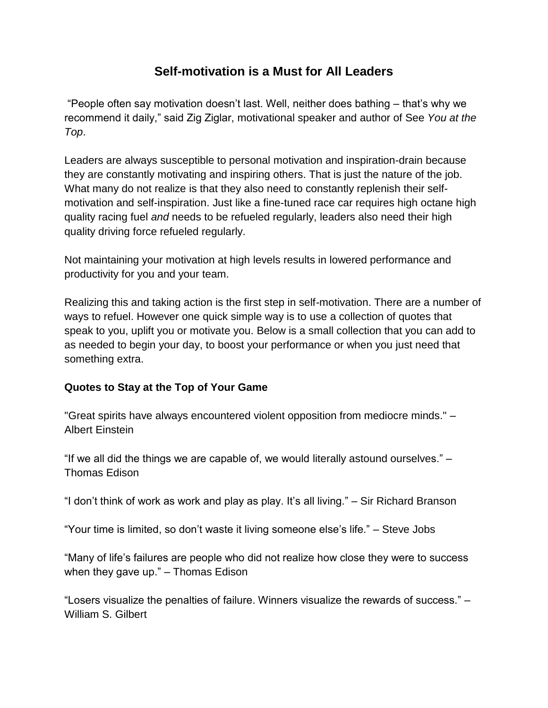## **Self-motivation is a Must for All Leaders**

"People often say motivation doesn't last. Well, neither does bathing – that's why we recommend it daily," said Zig Ziglar, motivational speaker and author of See *You at the Top*.

Leaders are always susceptible to personal motivation and inspiration-drain because they are constantly motivating and inspiring others. That is just the nature of the job. What many do not realize is that they also need to constantly replenish their selfmotivation and self-inspiration. Just like a fine-tuned race car requires high octane high quality racing fuel *and* needs to be refueled regularly, leaders also need their high quality driving force refueled regularly.

Not maintaining your motivation at high levels results in lowered performance and productivity for you and your team.

Realizing this and taking action is the first step in self-motivation. There are a number of ways to refuel. However one quick simple way is to use a collection of quotes that speak to you, uplift you or motivate you. Below is a small collection that you can add to as needed to begin your day, to boost your performance or when you just need that something extra.

## **Quotes to Stay at the Top of Your Game**

"Great spirits have always encountered violent opposition from mediocre minds." – Albert Einstein

"If we all did the things we are capable of, we would literally astound ourselves." – Thomas Edison

"I don't think of work as work and play as play. It's all living." – Sir Richard Branson

"Your time is limited, so don't waste it living someone else's life." – Steve Jobs

"Many of life's failures are people who did not realize how close they were to success when they gave up." – Thomas Edison

"Losers visualize the penalties of failure. Winners visualize the rewards of success." – William S. Gilbert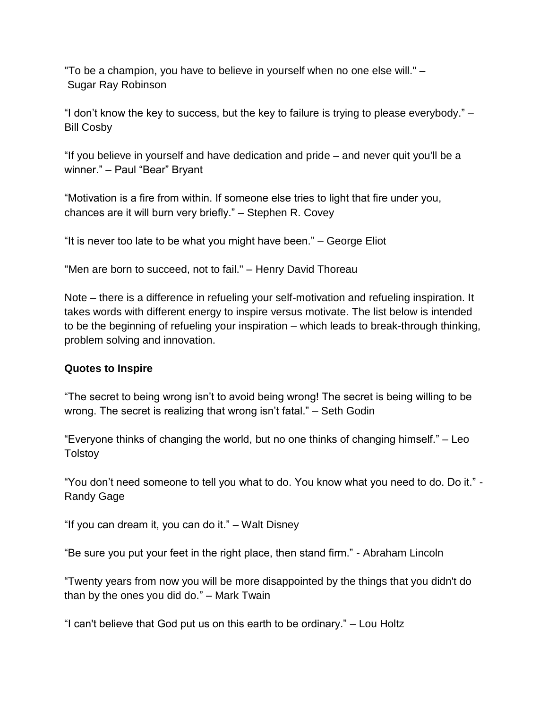"To be a champion, you have to believe in yourself when no one else will." – Sugar Ray Robinson

"I don't know the key to success, but the key to failure is trying to please everybody." – Bill Cosby

"If you believe in yourself and have dedication and pride – and never quit you'll be a winner." - Paul "Bear" Bryant

"Motivation is a fire from within. If someone else tries to light that fire under you, chances are it will burn very briefly." – Stephen R. Covey

"It is never too late to be what you might have been." – George Eliot

"Men are born to succeed, not to fail." – Henry David Thoreau

Note – there is a difference in refueling your self-motivation and refueling inspiration. It takes words with different energy to inspire versus motivate. The list below is intended to be the beginning of refueling your inspiration – which leads to break-through thinking, problem solving and innovation.

## **Quotes to Inspire**

"The secret to being wrong isn't to avoid being wrong! The secret is being willing to be wrong. The secret is realizing that wrong isn't fatal." – Seth Godin

"Everyone thinks of changing the world, but no one thinks of changing himself." – Leo **Tolstoy** 

"You don't need someone to tell you what to do. You know what you need to do. Do it." - Randy Gage

"If you can dream it, you can do it." – Walt Disney

"Be sure you put your feet in the right place, then stand firm." - Abraham Lincoln

"Twenty years from now you will be more disappointed by the things that you didn't do than by the ones you did do." – Mark Twain

"I can't believe that God put us on this earth to be ordinary." – Lou Holtz